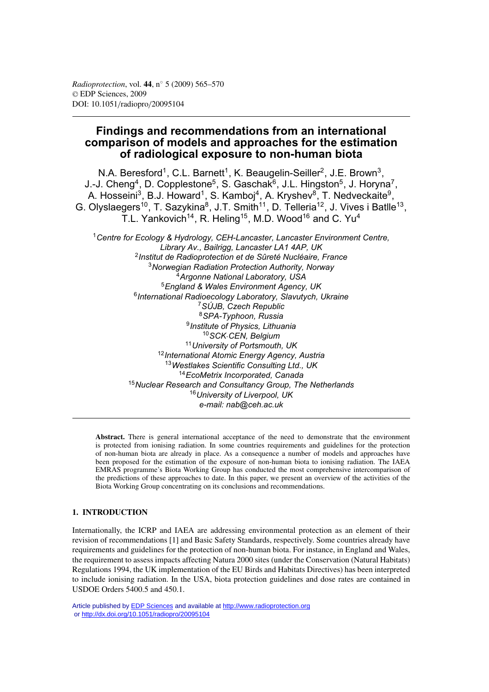# **Findings and recommendations from an international comparison of models and approaches for the estimation of radiological exposure to non-human biota**

N.A. Beresford<sup>1</sup>, C.L. Barnett<sup>1</sup>, K. Beaugelin-Seiller<sup>2</sup>, J.E. Brown<sup>3</sup>, J.-J. Cheng<sup>4</sup>, D. Copplestone<sup>5</sup>, S. Gaschak<sup>6</sup>, J.L. Hingston<sup>5</sup>, J. Horyna<sup>7</sup>, A. Hosseini<sup>3</sup>, B.J. Howard<sup>1</sup>, S. Kamboj<sup>4</sup>, A. Kryshev<sup>8</sup>, T. Nedveckaite<sup>9</sup>, G. Olyslaegers<sup>10</sup>, T. Sazykina<sup>8</sup>, J.T. Smith<sup>11</sup>, D. Telleria<sup>12</sup>, J. Vives i Batlle<sup>13</sup>, T.L. Yankovich<sup>14</sup>, R. Heling<sup>15</sup>, M.D. Wood<sup>16</sup> and C. Yu<sup>4</sup>

*Centre for Ecology & Hydrology, CEH-Lancaster, Lancaster Environment Centre, Library Av., Bailrigg, Lancaster LA1 4AP, UK Institut de Radioprotection et de Sûreté Nucléaire, France Norwegian Radiation Protection Authority, Norway Argonne National Laboratory, USA England & Wales Environment Agency, UK International Radioecology Laboratory, Slavutych, Ukraine SÚJB, Czech Republic SPA-Typhoon, Russia Institute of Physics, Lithuania SCK*·*CEN, Belgium University of Portsmouth, UK International Atomic Energy Agency, Austria Westlakes Scientific Consulting Ltd., UK EcoMetrix Incorporated, Canada Nuclear Research and Consultancy Group, The Netherlands University of Liverpool, UK e-mail: nab@ceh.ac.uk*

**Abstract.** There is general international acceptance of the need to demonstrate that the environment is protected from ionising radiation. In some countries requirements and guidelines for the protection of non-human biota are already in place. As a consequence a number of models and approaches have been proposed for the estimation of the exposure of non-human biota to ionising radiation. The IAEA EMRAS programme's Biota Working Group has conducted the most comprehensive intercomparison of the predictions of these approaches to date. In this paper, we present an overview of the activities of the Biota Working Group concentrating on its conclusions and recommendations.

## **1. INTRODUCTION**

Internationally, the ICRP and IAEA are addressing environmental protection as an element of their revision of recommendations [1] and Basic Safety Standards, respectively. Some countries already have requirements and guidelines for the protection of non-human biota. For instance, in England and Wales, the requirement to assess impacts affecting Natura 2000 sites (under the Conservation (Natural Habitats) Regulations 1994, the UK implementation of the EU Birds and Habitats Directives) has been interpreted to include ionising radiation. In the USA, biota protection guidelines and dose rates are contained in USDOE Orders 5400.5 and 450.1.

Article published by [EDP Sciences](http://www.edpsciences.org) and available at<http://www.radioprotection.org> or <http://dx.doi.org/10.1051/radiopro/20095104>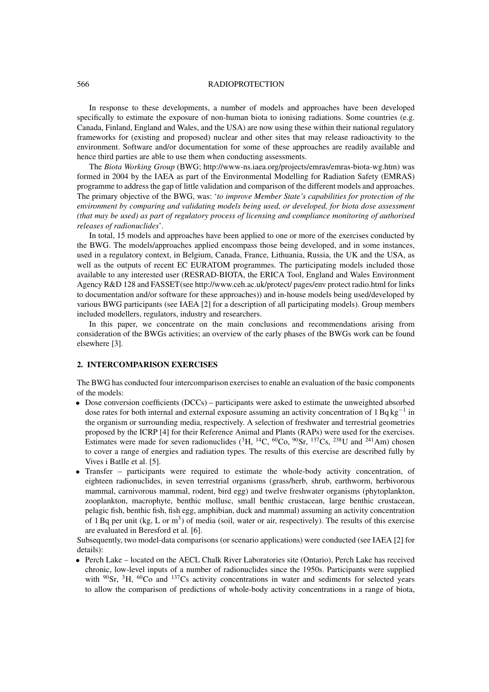### 566 RADIOPROTECTION

In response to these developments, a number of models and approaches have been developed specifically to estimate the exposure of non-human biota to ionising radiations. Some countries (e.g. Canada, Finland, England and Wales, and the USA) are now using these within their national regulatory frameworks for (existing and proposed) nuclear and other sites that may release radioactivity to the environment. Software and/or documentation for some of these approaches are readily available and hence third parties are able to use them when conducting assessments.

The *Biota Working Group* (BWG; http://www-ns.iaea.org/projects/emras/emras-biota-wg.htm) was formed in 2004 by the IAEA as part of the Environmental Modelling for Radiation Safety (EMRAS) programme to address the gap of little validation and comparison of the different models and approaches. The primary objective of the BWG, was: '*to improve Member State's capabilities for protection of the environment by comparing and validating models being used, or developed, for biota dose assessment (that may be used) as part of regulatory process of licensing and compliance monitoring of authorised releases of radionuclides*'.

In total, 15 models and approaches have been applied to one or more of the exercises conducted by the BWG. The models/approaches applied encompass those being developed, and in some instances, used in a regulatory context, in Belgium, Canada, France, Lithuania, Russia, the UK and the USA, as well as the outputs of recent EC EURATOM programmes. The participating models included those available to any interested user (RESRAD-BIOTA, the ERICA Tool, England and Wales Environment Agency R&D 128 and FASSET(see http://www.ceh.ac.uk/protect/ pages/env protect radio.html for links to documentation and/or software for these approaches)) and in-house models being used/developed by various BWG participants (see IAEA [2] for a description of all participating models). Group members included modellers, regulators, industry and researchers.

In this paper, we concentrate on the main conclusions and recommendations arising from consideration of the BWGs activities; an overview of the early phases of the BWGs work can be found elsewhere [3].

## **2. INTERCOMPARISON EXERCISES**

The BWG has conducted four intercomparison exercises to enable an evaluation of the basic components of the models:

- Dose conversion coefficients (DCCs) participants were asked to estimate the unweighted absorbed dose rates for both internal and external exposure assuming an activity concentration of 1 Bq kg<sup>-1</sup> in the organism or surrounding media, respectively. A selection of freshwater and terrestrial geometries proposed by the ICRP [4] for their Reference Animal and Plants (RAPs) were used for the exercises. Estimates were made for seven radionuclides  $(^3H, ^{14}C, ^{60}Co, ^{90}Sr, ^{137}Cs, ^{238}U$  and  $^{241}Am)$  chosen to cover a range of energies and radiation types. The results of this exercise are described fully by Vives i Batlle et al. [5].
- Transfer participants were required to estimate the whole-body activity concentration, of eighteen radionuclides, in seven terrestrial organisms (grass/herb, shrub, earthworm, herbivorous mammal, carnivorous mammal, rodent, bird egg) and twelve freshwater organisms (phytoplankton, zooplankton, macrophyte, benthic mollusc, small benthic crustacean, large benthic crustacean, pelagic fish, benthic fish, fish egg, amphibian, duck and mammal) assuming an activity concentration of 1 Bq per unit (kg, L or  $m<sup>3</sup>$ ) of media (soil, water or air, respectively). The results of this exercise are evaluated in Beresford et al. [6].

Subsequently, two model-data comparisons (or scenario applications) were conducted (see IAEA [2] for details):

• Perch Lake – located on the AECL Chalk River Laboratories site (Ontario), Perch Lake has received chronic, low-level inputs of a number of radionuclides since the 1950s. Participants were supplied with <sup>90</sup>Sr, <sup>3</sup>H, <sup>60</sup>Co and <sup>137</sup>Cs activity concentrations in water and sediments for selected years to allow the comparison of predictions of whole-body activity concentrations in a range of biota,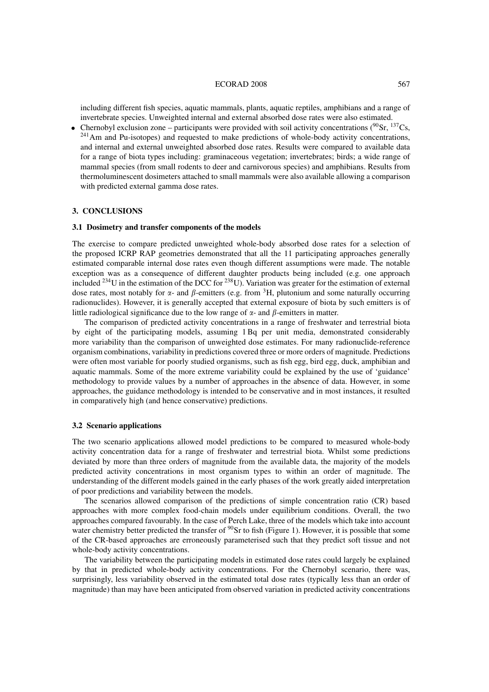#### ECORAD 2008 567

including different fish species, aquatic mammals, plants, aquatic reptiles, amphibians and a range of invertebrate species. Unweighted internal and external absorbed dose rates were also estimated.

Chernobyl exclusion zone – participants were provided with soil activity concentrations ( $90$ Sr,  $137$ Cs, <sup>241</sup>Am and Pu-isotopes) and requested to make predictions of whole-body activity concentrations, and internal and external unweighted absorbed dose rates. Results were compared to available data for a range of biota types including: graminaceous vegetation; invertebrates; birds; a wide range of mammal species (from small rodents to deer and carnivorous species) and amphibians. Results from thermoluminescent dosimeters attached to small mammals were also available allowing a comparison with predicted external gamma dose rates.

## **3. CONCLUSIONS**

### **3.1 Dosimetry and transfer components of the models**

The exercise to compare predicted unweighted whole-body absorbed dose rates for a selection of the proposed ICRP RAP geometries demonstrated that all the 11 participating approaches generally estimated comparable internal dose rates even though different assumptions were made. The notable exception was as a consequence of different daughter products being included (e.g. one approach included 234U in the estimation of the DCC for 238U). Variation was greater for the estimation of external dose rates, most notably for  $\alpha$ - and  $\beta$ -emitters (e.g. from <sup>3</sup>H, plutonium and some naturally occurring radionuclides). However, it is generally accepted that external exposure of biota by such emitters is of little radiological significance due to the low range of  $\alpha$ - and  $\beta$ -emitters in matter.

The comparison of predicted activity concentrations in a range of freshwater and terrestrial biota by eight of the participating models, assuming 1 Bq per unit media, demonstrated considerably more variability than the comparison of unweighted dose estimates. For many radionuclide-reference organism combinations, variability in predictions covered three or more orders of magnitude. Predictions were often most variable for poorly studied organisms, such as fish egg, bird egg, duck, amphibian and aquatic mammals. Some of the more extreme variability could be explained by the use of 'guidance' methodology to provide values by a number of approaches in the absence of data. However, in some approaches, the guidance methodology is intended to be conservative and in most instances, it resulted in comparatively high (and hence conservative) predictions.

### **3.2 Scenario applications**

The two scenario applications allowed model predictions to be compared to measured whole-body activity concentration data for a range of freshwater and terrestrial biota. Whilst some predictions deviated by more than three orders of magnitude from the available data, the majority of the models predicted activity concentrations in most organism types to within an order of magnitude. The understanding of the different models gained in the early phases of the work greatly aided interpretation of poor predictions and variability between the models.

The scenarios allowed comparison of the predictions of simple concentration ratio (CR) based approaches with more complex food-chain models under equilibrium conditions. Overall, the two approaches compared favourably. In the case of Perch Lake, three of the models which take into account water chemistry better predicted the transfer of <sup>90</sup>Sr to fish (Figure 1). However, it is possible that some of the CR-based approaches are erroneously parameterised such that they predict soft tissue and not whole-body activity concentrations.

The variability between the participating models in estimated dose rates could largely be explained by that in predicted whole-body activity concentrations. For the Chernobyl scenario, there was, surprisingly, less variability observed in the estimated total dose rates (typically less than an order of magnitude) than may have been anticipated from observed variation in predicted activity concentrations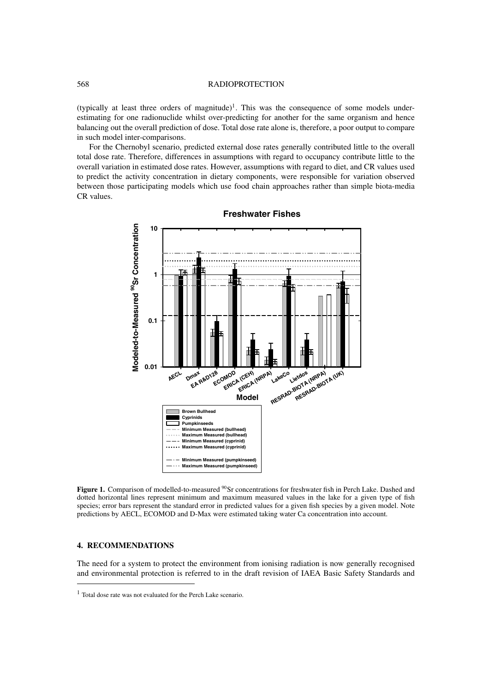### 568 RADIOPROTECTION

(typically at least three orders of magnitude)<sup>1</sup>. This was the consequence of some models underestimating for one radionuclide whilst over-predicting for another for the same organism and hence balancing out the overall prediction of dose. Total dose rate alone is, therefore, a poor output to compare in such model inter-comparisons.

For the Chernobyl scenario, predicted external dose rates generally contributed little to the overall total dose rate. Therefore, differences in assumptions with regard to occupancy contribute little to the overall variation in estimated dose rates. However, assumptions with regard to diet, and CR values used to predict the activity concentration in dietary components, were responsible for variation observed between those participating models which use food chain approaches rather than simple biota-media CR values.



**Freshwater Fishes**

**Figure 1.** Comparison of modelled-to-measured 90Sr concentrations for freshwater fish in Perch Lake. Dashed and dotted horizontal lines represent minimum and maximum measured values in the lake for a given type of fish species; error bars represent the standard error in predicted values for a given fish species by a given model. Note predictions by AECL, ECOMOD and D-Max were estimated taking water Ca concentration into account.

## **4. RECOMMENDATIONS**

The need for a system to protect the environment from ionising radiation is now generally recognised and environmental protection is referred to in the draft revision of IAEA Basic Safety Standards and

<sup>1</sup> Total dose rate was not evaluated for the Perch Lake scenario.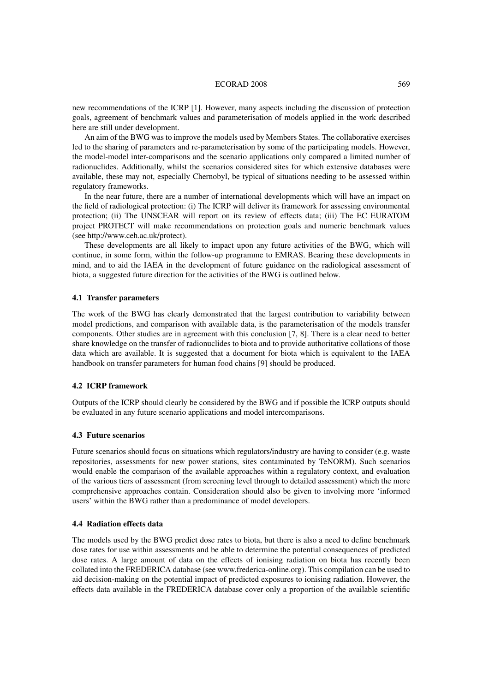### ECORAD 2008 569

new recommendations of the ICRP [1]. However, many aspects including the discussion of protection goals, agreement of benchmark values and parameterisation of models applied in the work described here are still under development.

An aim of the BWG was to improve the models used by Members States. The collaborative exercises led to the sharing of parameters and re-parameterisation by some of the participating models. However, the model-model inter-comparisons and the scenario applications only compared a limited number of radionuclides. Additionally, whilst the scenarios considered sites for which extensive databases were available, these may not, especially Chernobyl, be typical of situations needing to be assessed within regulatory frameworks.

In the near future, there are a number of international developments which will have an impact on the field of radiological protection: (i) The ICRP will deliver its framework for assessing environmental protection; (ii) The UNSCEAR will report on its review of effects data; (iii) The EC EURATOM project PROTECT will make recommendations on protection goals and numeric benchmark values (see http://www.ceh.ac.uk/protect).

These developments are all likely to impact upon any future activities of the BWG, which will continue, in some form, within the follow-up programme to EMRAS. Bearing these developments in mind, and to aid the IAEA in the development of future guidance on the radiological assessment of biota, a suggested future direction for the activities of the BWG is outlined below.

### **4.1 Transfer parameters**

The work of the BWG has clearly demonstrated that the largest contribution to variability between model predictions, and comparison with available data, is the parameterisation of the models transfer components. Other studies are in agreement with this conclusion [7, 8]. There is a clear need to better share knowledge on the transfer of radionuclides to biota and to provide authoritative collations of those data which are available. It is suggested that a document for biota which is equivalent to the IAEA handbook on transfer parameters for human food chains [9] should be produced.

## **4.2 ICRP framework**

Outputs of the ICRP should clearly be considered by the BWG and if possible the ICRP outputs should be evaluated in any future scenario applications and model intercomparisons.

## **4.3 Future scenarios**

Future scenarios should focus on situations which regulators/industry are having to consider (e.g. waste repositories, assessments for new power stations, sites contaminated by TeNORM). Such scenarios would enable the comparison of the available approaches within a regulatory context, and evaluation of the various tiers of assessment (from screening level through to detailed assessment) which the more comprehensive approaches contain. Consideration should also be given to involving more 'informed users' within the BWG rather than a predominance of model developers.

#### **4.4 Radiation effects data**

The models used by the BWG predict dose rates to biota, but there is also a need to define benchmark dose rates for use within assessments and be able to determine the potential consequences of predicted dose rates. A large amount of data on the effects of ionising radiation on biota has recently been collated into the FREDERICA database (see www.frederica-online.org). This compilation can be used to aid decision-making on the potential impact of predicted exposures to ionising radiation. However, the effects data available in the FREDERICA database cover only a proportion of the available scientific